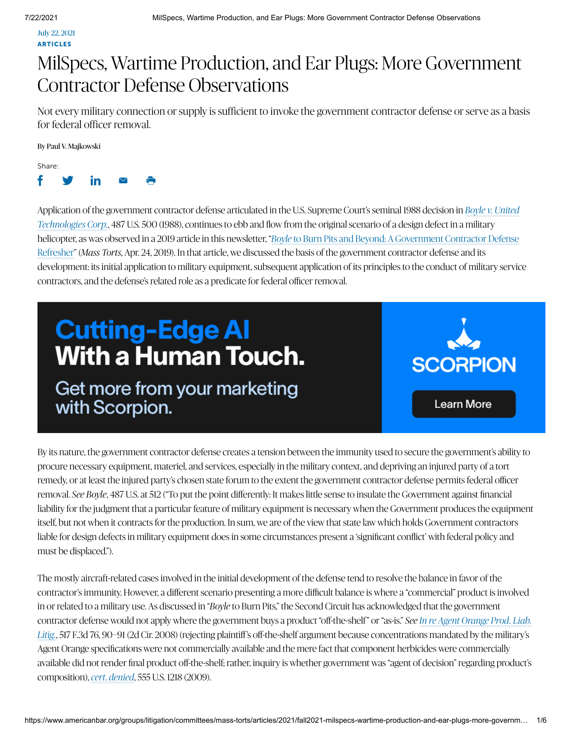July 22, 2021 **ARTICLES** 

# MilSpecs, Wartime Production, and Ear Plugs: More Government Contractor Defense Observations

Not every military connection or supply is sufficient to invoke the government contractor defense or serve as a basis for federal officer removal.

By Paul V. Majkowski

Share:



Application of the government contractor defense articulated in the U.S. Supreme Court's seminal 1988 decision in *Boyle v. United* , 487 U.S. 500 (1988), continues to ebb and flow from the original scenario of a design defect in a military *Technologies Corp.* helicopter, as was observed in a 2019 article in this newsletter, " *Boyle* to Burn Pits and Beyond: A Government Contractor Defense Refresher" (Mass Torts, Apr. 24, 2019). In that article, we discussed the basis of the government contractor defense and its development: its initial application to military equipment, subsequent application of its principles to the conduct of military service contractors, and the defense's related role as a predicate for federal officer removal.

# **Cutting-Edge AI With a Human Touch.**

Get more from your marketing with Scorpion.



By its nature, the government contractor defense creates a tension between the immunity used to secure the government's ability to procure necessary equipment, materiel, and services, especially in the military context, and depriving an injured party of a tort remedy, or at least the injured party's chosen state forum to the extent the government contractor defense permits federal officer removal. *See Boyle*, 487 U.S. at 512 ("To put the point differently: It makes little sense to insulate the Government against financial liability for the judgment that a particular feature of military equipment is necessary when the Government produces the equipment itself, but not when it contracts for the production. In sum, we are of the view that state law which holds Government contractors liable for design defects in military equipment does in some circumstances present a 'significant conflict' with federal policy and must be displaced.").

The mostly aircraft-related cases involved in the initial development of the defense tend to resolve the balance in favor of the contractor's immunity. However, a different scenario presenting a more difficult balance is where a "commercial" product is involved in or related to a military use. As discussed in "*Boyle* to Burn Pits," the Second Circuit has acknowledged that the government contractor defense would not apply where the government buys a product "off-the-shelf" or "as-is." *See In re Agent Orange Prod. Liab.* , 517 F.3d 76, 90–91 (2d Cir. 2008) (rejecting plaintiff's off-the-shelf argument because concentrations mandated by the military's *Litig.* Agent Orange specifications were not commercially available and the mere fact that component herbicides were commercially available did not render final product off-the-shelf; rather, inquiry is whether government was "agent of decision" regarding product's *composition), cert. denied, 555 U.S. 1218 (2009).*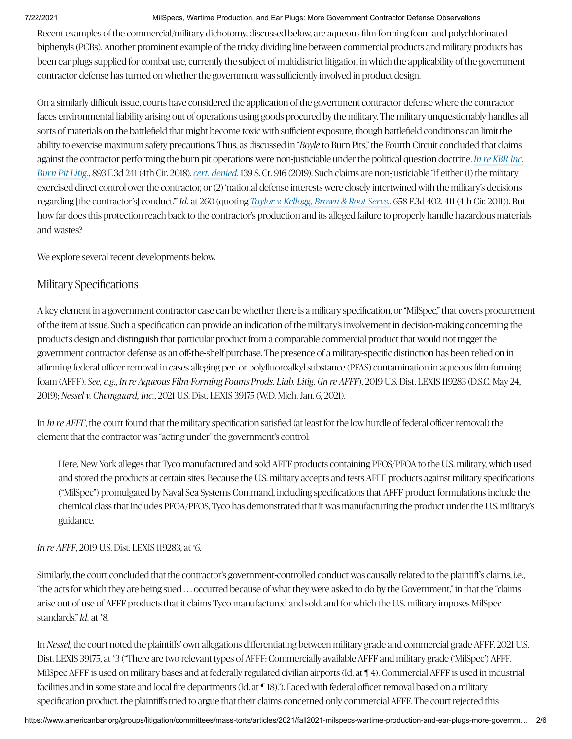Recent examples of the commercial/military dichotomy, discussed below, are aqueous film-forming foam and polychlorinated biphenyls (PCBs). Another prominent example of the tricky dividing line between commercial products and military products has been ear plugs supplied for combat use, currently the subject of multidistrict litigation in which the applicability of the government contractor defense has turned on whether the government was sufficiently involved in product design.

On a similarly difficult issue, courts have considered the application of the government contractor defense where the contractor faces environmental liability arising out of operations using goods procured by the military. The military unquestionably handles all sorts of materials on the battlefield that might become toxic with sufficient exposure, though battlefield conditions can limit the ability to exercise maximum safety precautions. Thus, as discussed in "*Boyle* to Burn Pits," the Fourth Circuit concluded that claims against the contractor performing the burn pit operations were non-justiciable under the political question doctrine. *In re KBR Inc. Burn Pit Litig., 893 F.3d 241 (4th Cir. 2018), cert. denied, 139 S. Ct. 916 (2019). Such claims are non-justiciable "if either (1) the military* exercised direct control over the contractor, or (2) 'national defense interests were closely intertwined with the military's decisions regarding [the contractor's] conduct." *Id.* at 260 (quoting Taylor v. Kellogg, Brown & Root Servs., 658 F.3d 402, 411 (4th Cir. 2011)). But how far does this protection reach back to the contractor's production and its alleged failure to properly handle hazardous materials and wastes?

We explore several recent developments below.

# Military Specifications

A key element in a government contractor case can be whether there is a military specification, or "MilSpec," that covers procurement of the item at issue. Such a specification can provide an indication of the military's involvement in decision-making concerning the product's design and distinguish that particular product from a comparable commercial product that would not trigger the government contractor defense as an off-the-shelf purchase. The presence of a military-specific distinction has been relied on in affirming federal officer removal in cases alleging per- or polyfluoroalkyl substance (PFAS) contamination in aqueous film-forming foam (AFFF). See, e.g., In re Aqueous Film-Forming Foams Prods. Liab. Litig. (In re AFFF), 2019 U.S. Dist. LEXIS 119283 (D.S.C. May 24, 2019); *Nessel v. Chemguard, Inc.*, 2021 U.S. Dist. LEXIS 39175 (W.D. Mich. Jan. 6, 2021).

In *In re AFFF*, the court found that the military specification satisfied (at least for the low hurdle of federal officer removal) the element that the contractor was "acting under" the government's control:

Here, New York alleges that Tyco manufactured and sold AFFF products containing PFOS/PFOA to the U.S. military, which used and stored the products at certain sites. Because the U.S. military accepts and tests AFFF products against military specifications ("MilSpec") promulgated by Naval Sea Systems Command, including specifications that AFFF product formulations include the chemical class that includes PFOA/PFOS, Tyco has demonstrated that it was manufacturing the product under the U.S. military's guidance.

# *In re AFFF*, 2019 U.S. Dist. LEXIS 119283, at \*6.

Similarly, the court concluded that the contractor's government-controlled conduct was causally related to the plaintiff's claims, i.e., "the acts for which they are being sued . . . occurred because of what they were asked to do by the Government," in that the "claims arise out of use of AFFF products that it claims Tyco manufactured and sold, and for which the U.S. military imposes MilSpec standards." *Id.* at \*8.

In *Nessel*, the court noted the plaintiffs' own allegations differentiating between military grade and commercial grade AFFF. 2021 U.S. Dist. LEXIS 39175, at \*3 ("There are two relevant types of AFFF: Commercially available AFFF and military grade ('MilSpec') AFFF. MilSpec AFFF is used on military bases and at federally regulated civilian airports (Id. at ¶ 4). Commercial AFFF is used in industrial facilities and in some state and local fire departments (Id. at ¶ 18)."). Faced with federal officer removal based on a military specification product, the plaintiffs tried to argue that their claims concerned only commercial AFFF. The court rejected this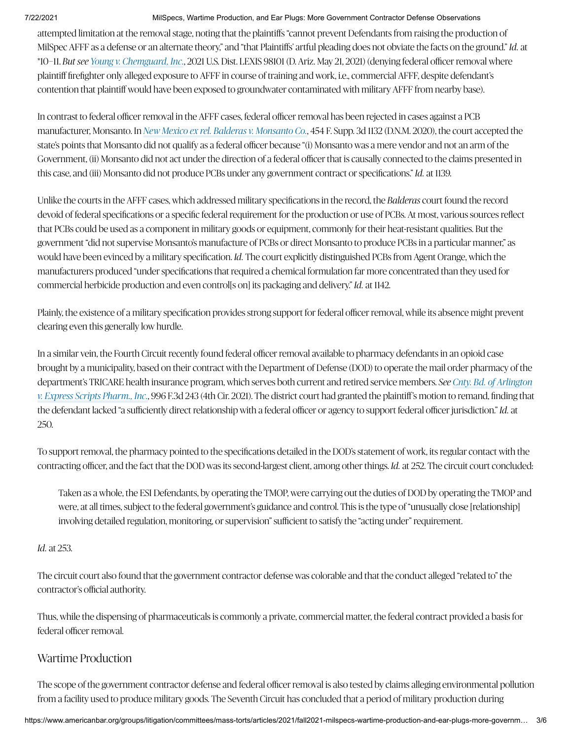attempted limitation at the removal stage, noting that the plaintiffs "cannot prevent Defendants from raising the production of MilSpec AFFF as a defense or an alternate theory," and "that Plaintiffs' artful pleading does not obviate the facts on the ground." *Id.* at \*10–11. *But see Young v. Chemguard, Inc., 2021 U.S. Dist. LEXIS 98101 (D. Ariz. May 21, 2021) (denying federal officer removal where* plaintiff firefighter only alleged exposure to AFFF in course of training and work, i.e., commercial AFFF, despite defendant's contention that plaintiff would have been exposed to groundwater contaminated with military AFFF from nearby base).

In contrast to federal officer removal in the AFFF cases, federal officer removal has been rejected in cases against a PCB manufacturer, Monsanto. In *New Mexico ex rel. Balderas v. Monsanto Co.*, 454 F. Supp. 3d 1132 (D.N.M. 2020), the court accepted the state's points that Monsanto did not qualify as a federal officer because "(i) Monsanto was a mere vendor and not an arm of the Government, (ii) Monsanto did not act under the direction of a federal officer that is causally connected to the claims presented in this case, and (iii) Monsanto did not produce PCBs under any government contract or specifications." *Id.* at 1139.

Unlike the courts in the AFFF cases, which addressed military specifications in the record, the *Balderas* court found the record devoid of federal specifications or a specific federal requirement for the production or use of PCBs. At most, various sources reflect that PCBs could be used as a component in military goods or equipment, commonly for their heat-resistant qualities. But the government "did not supervise Monsanto's manufacture of PCBs or direct Monsanto to produce PCBs in a particular manner," as would have been evinced by a military specification. *Id.* The court explicitly distinguished PCBs from Agent Orange, which the manufacturers produced "under specifications that required a chemical formulation far more concentrated than they used for commercial herbicide production and even control[s on] its packaging and delivery." *Id.* at 1142.

Plainly, the existence of a military specification provides strong support for federal officer removal, while its absence might prevent clearing even this generally low hurdle.

In a similar vein, the Fourth Circuit recently found federal officer removal available to pharmacy defendants in an opioid case brought by a municipality, based on their contract with the Department of Defense (DOD) to operate the mail order pharmacy of the department's TRICARE health insurance program, which serves both current and retired service members. *See Cnty. Bd. of Arlington* , 996 F.3d 243 (4th Cir. 2021). The district court had granted the plaintiff's motion to remand, finding that *v. Express Scripts Pharm., Inc.*the defendant lacked "a sufficiently direct relationship with a federal officer or agency to support federal officer jurisdiction." *Id.* at 250.

To support removal, the pharmacy pointed to the specifications detailed in the DOD's statement of work, its regular contact with the contracting officer, and the fact that the DOD was its second-largest client, among other things. *Id.* at 252. The circuit court concluded:

Taken as a whole, the ESI Defendants, by operating the TMOP, were carrying out the duties of DOD by operating the TMOP and were, at all times, subject to the federal government's guidance and control. This is the type of "unusually close [relationship] involving detailed regulation, monitoring, or supervision" sufficient to satisfy the "acting under" requirement.

# *Id.* at 253.

The circuit court also found that the government contractor defense was colorable and that the conduct alleged "related to" the contractor's official authority.

Thus, while the dispensing of pharmaceuticals is commonly a private, commercial matter, the federal contract provided a basis for federal officer removal.

# Wartime Production

The scope of the government contractor defense and federal officer removal is also tested by claims alleging environmental pollution from a facility used to produce military goods. The Seventh Circuit has concluded that a period of military production during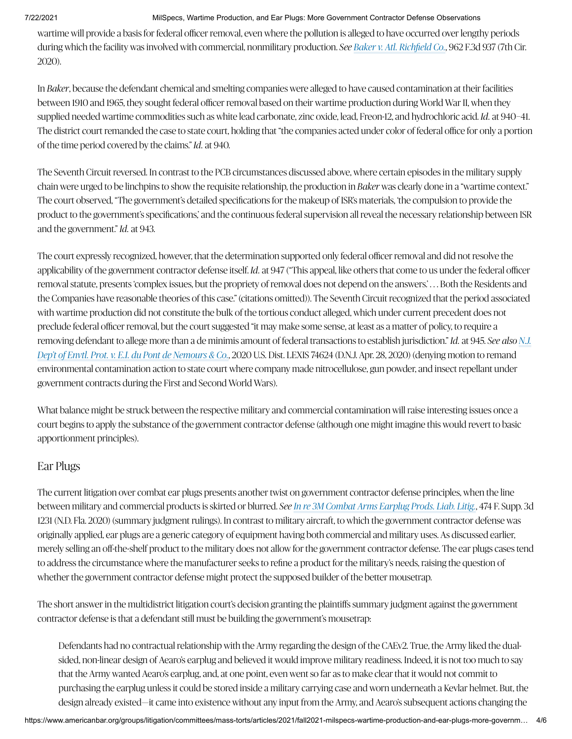wartime will provide a basis for federal officer removal, even where the pollution is alleged to have occurred over lengthy periods during which the facility was involved with commercial, nonmilitary production. *See Baker v. Atl. Richfield Co.*, 962 F.3d 937 (7th Cir. 2020).

In *Baker*, because the defendant chemical and smelting companies were alleged to have caused contamination at their facilities between 1910 and 1965, they sought federal officer removal based on their wartime production during World War II, when they supplied needed wartime commodities such as white lead carbonate, zinc oxide, lead, Freon-12, and hydrochloric acid. *Id.* at 940–41. The district court remanded the case to state court, holding that "the companies acted under color of federal office for only a portion of the time period covered by the claims." *Id.* at 940.

The Seventh Circuit reversed. In contrast to the PCB circumstances discussed above, where certain episodes in the military supply chain were urged to be linchpins to show the requisite relationship, the production in *Baker* was clearly done in a "wartime context." The court observed, "The government's detailed specifications for the makeup of ISR's materials, 'the compulsion to provide the product to the government's specifications,' and the continuous federal supervision all reveal the necessary relationship between ISR and the government." *Id.* at 943.

The court expressly recognized, however, that the determination supported only federal officer removal and did not resolve the applicability of the government contractor defense itself. *Id.* at 947 ("This appeal, like others that come to us under the federal officer removal statute, presents 'complex issues, but the propriety of removal does not depend on the answers.' . . . Both the Residents and the Companies have reasonable theories of this case." (citations omitted)). The Seventh Circuit recognized that the period associated with wartime production did not constitute the bulk of the tortious conduct alleged, which under current precedent does not preclude federal officer removal, but the court suggested "it may make some sense, at least as a matter of policy, to require a removing defendant to allege more than a de minimis amount of federal transactions to establish jurisdiction." *Id.* at 945. *See also N.J.* , 2020 U.S. Dist. LEXIS 74624 (D.N.J. Apr. 28, 2020) (denying motion to remand *Dep't of Envtl. Prot. v. E.I. du Pont de Nemours & Co.* environmental contamination action to state court where company made nitrocellulose, gun powder, and insect repellant under government contracts during the First and Second World Wars).

What balance might be struck between the respective military and commercial contamination will raise interesting issues once a court begins to apply the substance of the government contractor defense (although one might imagine this would revert to basic apportionment principles).

# Ear Plugs

The current litigation over combat ear plugs presents another twist on government contractor defense principles, when the line between military and commercial products is skirted or blurred. *See In re 3M Combat Arms Earplug Prods. Liab. Litig.,* 474 F. Supp. 3d 1231 (N.D. Fla. 2020) (summary judgment rulings). In contrast to military aircraft, to which the government contractor defense was originally applied, ear plugs are a generic category of equipment having both commercial and military uses. As discussed earlier, merely selling an off-the-shelf product to the military does not allow for the government contractor defense. The ear plugs cases tend to address the circumstance where the manufacturer seeks to refine a product for the military's needs, raising the question of whether the government contractor defense might protect the supposed builder of the better mousetrap.

The short answer in the multidistrict litigation court's decision granting the plaintiffs summary judgment against the government contractor defense is that a defendant still must be building the government's mousetrap:

Defendants had no contractual relationship with the Army regarding the design of the CAEv2. True, the Army liked the dualsided, non-linear design of Aearo's earplug and believed it would improve military readiness. Indeed, it is not too much to say that the Army wanted Aearo's earplug, and, at one point, even went so far as to make clear that it would not commit to purchasing the earplug unless it could be stored inside a military carrying case and worn underneath a Kevlar helmet. But, the design already existed—it came into existence without any input from the Army, and Aearo's subsequent actions changing the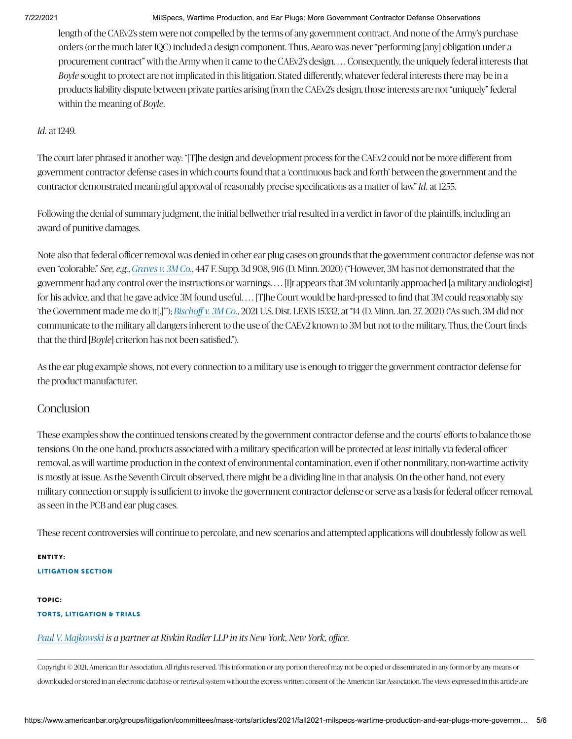length of the CAEv2's stem were not compelled by the terms of any government contract. And none of the Army's purchase orders (or the much later IQC) included a design component. Thus, Aearo was never "performing [any] obligation under a procurement contract" with the Army when it came to the CAEv2's design. . . . Consequently, the uniquely federal interests that *Boyle* sought to protect are not implicated in this litigation. Stated differently, whatever federal interests there may be in a products liability dispute between private parties arising from the CAEv2's design, those interests are not "uniquely" federal within the meaning of *Boyle*.

## *Id.* at 1249.

The court later phrased it another way: "[T]he design and development process for the CAEv2 could not be more different from government contractor defense cases in which courts found that a 'continuous back and forth' between the government and the contractor demonstrated meaningful approval of reasonably precise specifications as a matter of law." *Id.* at 1255.

Following the denial of summary judgment, the initial bellwether trial resulted in a verdict in favor of the plaintiffs, including an award of punitive damages.

Note also that federal officer removal was denied in other ear plug cases on grounds that the government contractor defense was not even "colorable*" See, e.g., Graves v. 3M Co.,* 447 F. Supp. 3d 908, 916 (D. Minn. 2020) ("However, 3M has not demonstrated that the government had any control over the instructions or warnings. . . . [I]t appears that 3M voluntarily approached [a military audiologist] for his advice, and that he gave advice 3M found useful. . . . [T]he Court would be hard-pressed to find that 3M could reasonably say 'the Government made me do it[.]'"); , 2021 U.S. Dist. LEXIS 15332, at \*14 (D. Minn. Jan. 27, 2021) ("As such, 3M did not *Bischoff v. 3M Co.* communicate to the military all dangers inherent to the use of the CAEv2 known to 3M but not to the military. Thus, the Court finds that the third [*Boyle*] criterion has not been satisfied.").

As the ear plug example shows, not every connection to a military use is enough to trigger the government contractor defense for the product manufacturer.

# **Conclusion**

These examples show the continued tensions created by the government contractor defense and the courts' efforts to balance those tensions. On the one hand, products associated with a military specification will be protected at least initially via federal officer removal, as will wartime production in the context of environmental contamination, even if other nonmilitary, non-wartime activity is mostly at issue. As the Seventh Circuit observed, there might be a dividing line in that analysis. On the other hand, not every military connection or supply is sufficient to invoke the government contractor defense or serve as a basis for federal officer removal, as seen in the PCB and ear plug cases.

These recent controversies will continue to percolate, and new scenarios and attempted applications will doubtlessly follow as well.

# ENTITY: LITIGATION SECTION

## TOPIC: TORTS, LITIGATION & TRIALS

# *is a partner at Rivkin Radler LLP in its New York, New York, office. Paul V. Majkowski*

Copyright © 2021, American Bar Association. All rights reserved. This information or any portion thereof may not be copied or disseminated in any form or by any means or downloaded or stored in an electronic database or retrieval system without the express written consent of the American Bar Association. The views expressed in this article are